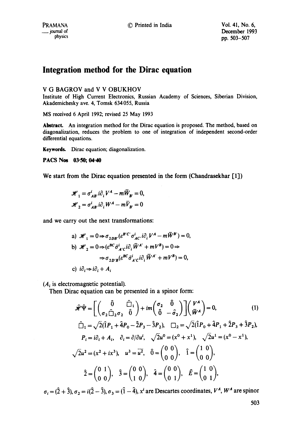# Integration method for the Dirac equation

## V G BAGROV and V V OBUKHOV

Institute of High Current Electronics, Russian Academy of Sciences, Siberian Division, Akademichesky ave. 4, Tomsk 634055, Russia

MS received 6 April 1992; revised 25 May 1993

Abstract. An integration method for the Dirac equation is proposed. The method, based on diagonalization, reduces the problem to one of integration of independent second-order differential equations.

Keywords. Dirac equation; diagonalization.

PACS Nos 03-50; 04-40

We start from the Dirac equation presented in the form (Chandrasekhar [1])

$$
\mathcal{H}_1 = \sigma_{AB}^i \, i \partial_i V^A - m \overline{W}_{B'} = 0,
$$
  

$$
\mathcal{H}_2 = \sigma_{AB}^i \, i \partial_i W^A - m \overline{V}_{B'} = 0
$$

and we carry out the next transformations:

a) 
$$
\mathcal{H}_1 = 0 \Rightarrow \sigma_{2DB'}(e^{BC'} \sigma_{AC'}^i \partial_i V^A - m \overline{W}^{B'}) = 0,
$$
  
\nb)  $\mathcal{H}_2 = 0 \Rightarrow (e^{BC} \overline{\sigma}_{AC}^i \overline{\sigma}_{AC}^i \overline{W}^{A'} + mV^B) = 0 \Rightarrow$   
\n $\Rightarrow \sigma_{2D'B}(e^{BC} \overline{\sigma}_{AC}^i \overline{\sigma}_{AC}^i \overline{\sigma}_{AC}^i \overline{W}^{A'} + mV^B) = 0,$   
\nc)  $i\partial_i \Rightarrow i\partial_i + A_i$ 

 $(A_i)$  is electromagnetic potential).

Then Dirac equation can be presented in a spinor form:

$$
\hat{\mathcal{H}}^{\hat{V}} = \left[ \begin{pmatrix} \hat{0} & \hat{C}_{1} \\ \sigma_{2} \hat{C}_{2} & \hat{0} \end{pmatrix} + im \begin{pmatrix} \sigma_{2} & \hat{0} \\ \hat{0} & -\hat{\sigma}_{2} \end{pmatrix} \right] \begin{pmatrix} V^{A} \\ \bar{W}^{A} \end{pmatrix} = 0, \qquad (1)
$$
  

$$
\hat{C}_{1} = \sqrt{2}(\hat{1}P_{1} + \hat{4}P_{0} - \hat{2}P_{3} - \hat{3}P_{2}), \qquad \Sigma_{2} = \sqrt{2}(\hat{1}P_{0} + \hat{4}P_{1} + \hat{2}P_{3} + \hat{3}P_{2}),
$$

$$
P_{i} = i\partial_{i} + A_{i}, \quad \partial_{i} = \partial/\partial u^{i}, \quad \sqrt{2}u^{0} = (x^{0} + x^{1}), \quad \sqrt{2}u^{1} = (x^{0} - x^{1}),
$$

$$
\sqrt{2}u^{2} = (x^{2} + ix^{3}), \quad u^{3} = \overline{u^{2}}, \quad \hat{0} = \begin{pmatrix} 0 & 0 \\ 0 & 0 \end{pmatrix}, \quad \hat{1} = \begin{pmatrix} 1 & 0 \\ 0 & 0 \end{pmatrix},
$$

$$
\hat{2} = \begin{pmatrix} 0 & 1 \\ 0 & 0 \end{pmatrix}, \quad \hat{3} = \begin{pmatrix} 0 & 0 \\ 1 & 0 \end{pmatrix}, \quad \hat{4} = \begin{pmatrix} 0 & 0 \\ 0 & 1 \end{pmatrix}, \quad \hat{E} = \begin{pmatrix} 1 & 0 \\ 0 & 1 \end{pmatrix},
$$

 $\sigma_i = (\hat{2} + \hat{3}), \sigma_2 = i(\hat{2} - \hat{3}), \sigma_3 = (\hat{1} - \hat{4}), x^i$  are Descartes coordinates,  $V^A$ ,  $W^A$  are spinor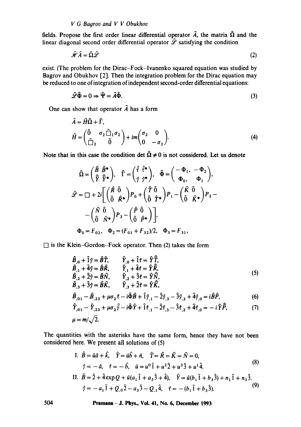#### *V G Bagrov and V V Obukhov*

fields. Propose the first order linear differential operator  $\hat{A}$ , the matrix  $\hat{\Omega}$  and the linear diagonal second order differential operator  $\hat{\mathscr{L}}$  satisfying the condition

$$
\hat{\mathcal{H}}\hat{A} = \hat{\Omega}\hat{\mathcal{L}}\tag{2}
$$

exist. (The problem for the Dirac-Fock-Ivanenko squared equation was studied by Bagrov and Obukhov [2]. Then the integration problem for the Dirac equation may be reduced to one of integration of independent second-order differential equations:

$$
\hat{\mathscr{L}}\hat{\Phi} = 0 \Rightarrow \hat{\Psi} = \hat{A}\hat{\Phi}.
$$
\n(3)

One can show that operator  $\hat{A}$  has a form

$$
\hat{A} = \hat{H}\hat{\Omega} + \hat{\Gamma},
$$
\n
$$
\hat{H} = \begin{pmatrix} \hat{0} & \sigma_2 \hat{\square}_1 \sigma_2 \\ \hat{\square}_2 & \hat{0} \end{pmatrix} + im \begin{pmatrix} \sigma_2 & 0 \\ 0 & -\sigma_2 \end{pmatrix}.
$$
\n(4)

Note that in this case the condition det  $\hat{\Omega} \neq 0$  is not considered. Let us denote

$$
\hat{\Omega} = \begin{pmatrix} \hat{B} & \hat{B}^* \\ \hat{\tilde{\gamma}} & \hat{\tilde{\gamma}}^* \end{pmatrix}, \quad \hat{\Gamma} = \begin{pmatrix} \hat{\tilde{\tau}} & \hat{\tilde{\tau}}^* \\ \hat{\gamma} & \hat{\gamma}^* \end{pmatrix}, \quad \hat{\Phi} = \begin{pmatrix} -\Phi_1, & -\Phi_2 \\ \Phi_0, & \Phi_1 \end{pmatrix},
$$
  

$$
\hat{\mathscr{L}} = \square + 2i \left[ \begin{pmatrix} \hat{R} & \hat{0} \\ \hat{0} & \hat{R}^* \end{pmatrix} P_0 + \begin{pmatrix} \hat{T} & \hat{0} \\ \hat{0} & \hat{T}^* \end{pmatrix} P_1 - \begin{pmatrix} \hat{K} & \hat{0} \\ \hat{0} & \hat{K}^* \end{pmatrix} P_2 - \begin{pmatrix} \hat{N} & \hat{0} \\ \hat{0} & \hat{N}^* \end{pmatrix} P_3 - \begin{pmatrix} \hat{P} & \hat{0} \\ \hat{0} & \hat{P}^* \end{pmatrix} \right],
$$
  

$$
\Phi_0 = F_{02}, \quad \Phi_2 = (F_{01} + F_{32})/2, \quad \Phi_3 = F_{31},
$$

 $\Box$  is the Klein-Gordon-Fock operator. Then (2) takes the form

$$
\hat{B}_{,0} + \hat{1}\hat{\gamma} = \hat{B}\hat{T}, \qquad \hat{Y}_{,0} + \hat{1}\hat{\tau} = \hat{Y}\hat{T}, \n\hat{B}_{,1} + \hat{4}\hat{\gamma} = \hat{B}\hat{R}, \qquad \hat{Y}_{,1} + \hat{4}\hat{\tau} = \hat{Y}\hat{R}, \n\hat{B}_{,2} + \hat{2}\hat{\gamma} = \hat{B}\hat{N}, \qquad \hat{Y}_{,2} + \hat{3}\hat{\tau} = \hat{Y}\hat{N}, \n\hat{B}_{,3} + \hat{3}\hat{\gamma} = \hat{B}\hat{K}, \qquad \hat{Y}_{,3} + \hat{2}\hat{\tau} = \hat{Y}\hat{K},
$$
\n(5)

$$
\hat{B}_{,01} - \hat{B}_{,23} + \mu \sigma_2 \hat{\tau} - i \hat{\Phi} \hat{B} + \hat{1} \hat{\gamma}_{,1} - \hat{2} \hat{\gamma}_{,3} - \hat{3} \hat{\gamma}_{,2} + \hat{4} \hat{\gamma}_{,0} = i \hat{B} \hat{P},\tag{6}
$$

$$
\hat{Y}_{,01} - \hat{Y}_{,23} + \mu \sigma_2 \hat{\bar{y}} - i \hat{\Phi} \hat{Y} + \hat{1} \hat{t}_{,1} - \hat{2} \hat{t}_{,3} - \hat{3} \hat{t}_{,2} + \hat{4} \hat{t}_{,0} = -i \hat{Y} \hat{\bar{P}},
$$
(7)

$$
\mu = m/\sqrt{2}.
$$

The quantities with the asterisks have the same form, hence they have not been considered here. We present all solutions of (5)

I. 
$$
\hat{B} = \hat{u}a + \hat{k}
$$
,  $\hat{Y} = \hat{u}b + \hat{n}$ ,  $\hat{T} = \hat{R} = \hat{K} = \hat{N} = 0$ ,  
\n $\hat{\gamma} = -\hat{a}$ ,  $\hat{\tau} = -\hat{b}$ ,  $\hat{u} = u^0 \hat{1} + u^2 \hat{2} + u^3 \hat{3} + u^1 \hat{4}$ . (8)

II. 
$$
\hat{B} = \hat{2} + \hat{4} \exp Q + \hat{u}(a_1 \hat{1} + a_3 \hat{3} + \hat{4}), \quad \hat{Y} = \hat{u}(b_1 \hat{1} + b_3 \hat{3}) + n_1 \hat{1} + n_3 \hat{3}.
$$
  
\n $\hat{y} = -a_1 \hat{1} + Q_{,0} \hat{2} - a_3 \hat{3} - Q_{,1} \hat{4}, \quad \hat{\tau} = -(b_1 \hat{1} + b_3 \hat{3}).$ \n(9)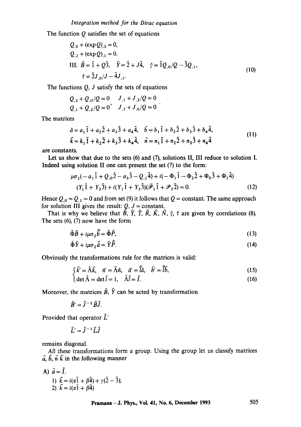The function  $Q$  satisfies the set of equations

$$
Q_{,0} + (\exp Q)_{,3} = 0,
$$
  
\n
$$
Q_{,2} + (\exp Q)_{,1} = 0.
$$
  
\nIII.  $\hat{B} = \hat{1} + Q\hat{3}, \quad \hat{Y} = \hat{2} + J\hat{4}, \quad \hat{\gamma} = \hat{1}Q_{,0}/Q - \hat{3}Q_{,1},$   
\n $\hat{\tau} = \hat{2}J_{,0}/J - \hat{4}J_{,1}.$ \n(10)

The functions  $Q, J$  satisfy the sets of equations

$$
Q_{,3} + Q_{,0}/Q = 0
$$
  $J_{,1} + J_{,3}/Q = 0$   
 $Q_{,1} + Q_{,2}/Q = 0$ ,  $J_{,2} + J_{,0}/Q = 0$ 

The matrices

$$
\hat{a} = a_1 \hat{1} + a_2 \hat{2} + a_3 \hat{3} + a_4 \hat{4}, \quad \hat{b} = b_1 \hat{1} + b_2 \hat{2} + b_3 \hat{3} + b_4 \hat{4}, \n\hat{k} = k_1 \hat{1} + k_2 \hat{2} + k_3 \hat{3} + k_4 \hat{4}, \quad \hat{n} = n_1 \hat{1} + n_2 \hat{2} + n_3 \hat{3} + n_4 \hat{4}
$$
\n(11)

are constants.

Let us show that due to the sets (6) and (7), solutions II, III reduce to solution I. Indeed using solution II one can present the set (7) to the form:

$$
\mu \sigma_2(-a_1 \hat{1} + Q_{,0} \hat{2} - a_3 \hat{3} - Q_{,1} \hat{4}) + i(-\Phi_1 \hat{1} - \Phi_2 \hat{2} + \Phi_0 \hat{3} + \Phi_1 \hat{4})
$$
  
(Y<sub>1</sub> \hat{1} + Y<sub>3</sub> \hat{3}) + i(Y<sub>1</sub> \hat{1} + Y<sub>3</sub> \hat{3}) (\bar{P}\_1 \hat{1} + P\_2 \hat{2}) = 0. (12)

Hence  $Q_{,0} = Q_{,1} = 0$  and from set (9) it follows that  $Q =$  constant. The same approach for solution III gives the result:  $Q, J = constant$ .

That is why we believe that  $\overline{\hat{B}}$ ,  $\hat{Y}$ ,  $\hat{T}$ ,  $\hat{R}$ ,  $\hat{K}$ ,  $\hat{N}$ ,  $\hat{\gamma}$ ,  $\hat{\tau}$  are given by correlations (8). The sets (6), (7) now have the form

$$
\hat{\Phi}\hat{B} + i\mu\sigma_2\hat{\bar{b}} = \hat{\Phi}\hat{P},\tag{13}
$$

$$
\hat{\Phi}\hat{Y} + i\mu\sigma_z\hat{a} = \hat{Y}\vec{P}.\tag{14}
$$

Obviously the transformations rule for the matrices is valid:

$$
\begin{cases}\n\hat{k}' = \hat{\Lambda}\hat{k}, & \hat{n}' = \hat{\Lambda}\hat{n}, & \hat{a}' = \hat{\bar{l}}\hat{a}, & \hat{b}' = \hat{\bar{l}}\hat{b}, \\
\det \hat{\Lambda} = \det \hat{l} = 1, & \hat{\Lambda}\hat{l} = \hat{l}\n\end{cases}
$$
\n(15)

$$
\det \hat{\Lambda} = \det \hat{l} = 1, \quad \hat{\Lambda}\hat{l} = \hat{l}.\tag{16}
$$

Moreover, the matrices  $\hat{B}$ ,  $\hat{Y}$  can be acted by transformation

$$
\widehat{B}'=\widehat{J}^{-1}\widehat{B}\widehat{J}.
$$

Provided that operator  $\hat{L}'$ 

$$
\hat{L}' = \hat{J}^{-1} \hat{L} \hat{J}
$$

remains diagonal.

All these transformations form a group. Using the group let us classify matrices  $\hat{a}, \hat{b}, \hat{n} \hat{k}$  in the following manner

A) 
$$
\hat{a} = \hat{I}
$$
.  
\n1)  $\hat{k} = i(\alpha \hat{1} + \beta \hat{4}) + \gamma(\hat{2} - \hat{3});$   
\n2)  $\hat{k} = i(\alpha \hat{1} + \beta \hat{4})$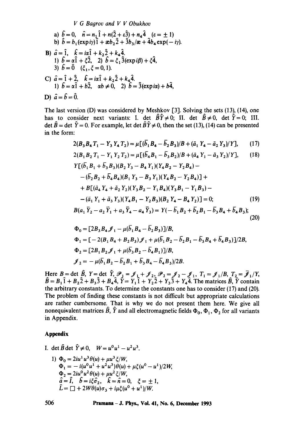*V G Bagrov and V V Obukhov* 

a)  $\hat{b}=0$ ,  $\hat{n}=n_1\hat{1}+n(\hat{2}+\varepsilon\hat{3})+n_4\hat{4}$   $(\varepsilon=\pm 1)$ b)  $\hat{b} = b_1(\exp iy) \hat{1} + \exp(\hat{2} + 3\hat{b}_3/\hat{x} + 4\hat{b}_4 \exp(-iy)).$ B)  $a=1$ ,  $k=ia1+k_22+k_44$ . 1)  $b = \alpha 1 + \xi 2$ , 2)  $b = \xi_1 3(\exp i\beta) + \xi 4$ , 3)  $\hat{b}=\hat{0}$  ( $\xi_1, \xi=0,1$ ). C)  $\hat{a} = \hat{1} + \hat{2}$ ,  $\hat{k} = i\alpha \hat{1} + k_2 \hat{2} + k_4 \hat{4}$ . 1)  $\hat{b} = \alpha \hat{i} + b \hat{2}$ ,  $\alpha b \neq 0$ , 2)  $\hat{b} = \hat{3}(\exp{i\alpha}) + b \hat{4}$ , D)  $\hat{a} = \hat{b} = 0$ .

The last version (D) was considered by Meshkov [31. Solving the sets (13), (14), one has to consider next variants: I. det  $\hat{B}\hat{Y} \neq 0$ ; II. det  $\hat{B} \neq 0$ , det  $\hat{Y}=0$ ; III. det  $\hat{B}$  = det  $\hat{Y}$  = 0. For example, let det  $\hat{B}\hat{Y} \neq 0$ , then the set (13), (14) can be presented in the form:

$$
2(B_3B_4T_1 - Y_3Y_4T_2) = \mu [(\bar{b}_1B_4 - \bar{b}_2B_3)/B + (\bar{a}_1Y_4 - \bar{a}_2Y_3)/Y], \qquad (17)
$$

$$
2(B_1 B_2 T_1 - Y_1 Y_2 T_2) = \mu [(\bar{b}_4 B_1 - \bar{b}_3 B_2)/B + (\bar{a}_4 Y_1 - \bar{a}_3 Y_2)/Y], \quad (18)
$$

$$
Y[(b_1B_1 + b_3B_3)(B_2Y_3 - B_4Y_1)(Y_4B_2 - Y_2B_4) -
$$
  
\n
$$
- (\overline{b}_2B_2 + \overline{b}_4B_4)(B_1Y_3 - B_3Y_1)(Y_4B_2 - Y_2B_4)] +
$$
  
\n
$$
+ B[(\overline{a}_4Y_4 + \overline{a}_2Y_2)(Y_3B_2 - Y_1B_4)(Y_3B_1 - Y_1B_3) -
$$
  
\n
$$
- (\overline{a}_1Y_1 + \overline{a}_3Y_3)(Y_4B_1 - Y_2B_3)(B_2Y_4 - B_4Y_2)] = 0; \qquad (19)
$$
  
\n
$$
B(a_1\overline{Y}_2 - a_2\overline{Y}_1 + a_3\overline{Y}_4 - a_4\overline{Y}_3) = Y(-\overline{b}_1B_2 + \overline{b}_2B_1 - \overline{b}_3B_4 + \overline{b}_4B_3); \qquad (20)
$$

$$
\Phi_0 = [2B_3B_4 \mathcal{J}_1 - \mu(\bar{b}_1B_4 - \bar{b}_2B_3)]/B,
$$
  
\n
$$
\Phi_1 = [-2(B_1B_4 + B_2B_3)\mathcal{J}_1 + \mu(\bar{b}_1B_2 - \bar{b}_2B_1 - \bar{b}_3B_4 + \bar{b}_4B_3)]/2B,
$$
  
\n
$$
\Phi_2 = [2B_1B_2\mathcal{J}_1 + \mu(\bar{b}_3B_2 - \bar{b}_4B_1)]/B,
$$
  
\n
$$
\mathcal{J}_2 = -\mu(\bar{b}_1B_2 - \bar{b}_2B_1 + \bar{b}_3B_4 - \bar{b}_4B_3)/2B.
$$

Here  $B = \det B$ ,  $Y = \det Y, \mathscr{P}_1 = \mathscr{I}_1 + \mathscr{I}_2, \mathscr{P}_2 = \mathscr{I}_2 - \mathscr{I}_1, T_1 = \mathscr{I}_1/B, T_2 = \mathscr{I}_1/Y$ ,  $B = B_1 1 + B_2 2 + B_3 3 + B_4 4$ ,  $Y = Y_1 1 + Y_2 2 + Y_3 3 + Y_4 4$ . The matrices B, Y contain the arbitrary constants. To determine the constants one has to consider (17) and (20). The problem of finding these constants is not difficult but appropriate calculations are rather cumbersome. That is why we do not present them here. We give all nonequivalent matrices  $\hat{B}$ ,  $\hat{Y}$  and all electromagnetic fields  $\Phi_0$ ,  $\Phi_1$ ,  $\Phi_2$  for all variants in Appendix.

### **Appendix**

- I. det  $\hat{B}$  det  $\hat{Y} \neq 0$ ,  $W = u^0 u^1 u^2 u^3$ .
	- 1)  $\Phi_0 = 2iu^1u^3\theta(u) + \mu u^3\xi/W,$  $\Phi_1 = -i(u^0u^1 + u^2u^3)\dot{\theta}(u) + \mu \xi(u^0 - u^1)/2W,$  $\Phi_2 = 2iu^{\dot{\theta}}u^2\theta(u) + \mu u^2 \xi /W,$  $\hat{a}=\hat{i}, \quad \hat{b}=i\xi\hat{\sigma}_2, \quad \hat{k}=\hat{n}=0, \quad \xi=\pm 1,$  $\hat{L} = \Box + 2W\theta(u)\sigma_3 + i\mu \xi(u^0 + u^1)/W$ .